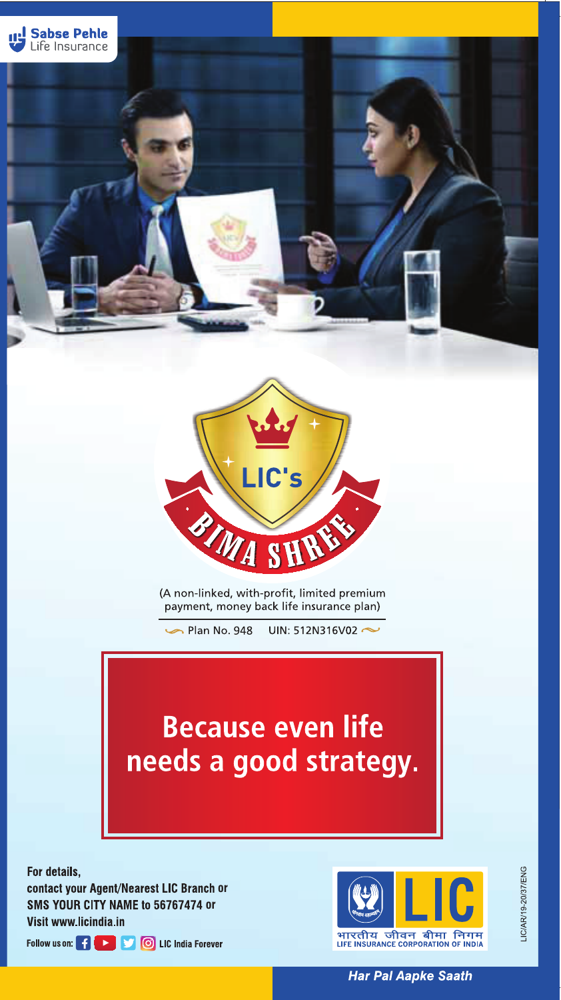



(A non-linked, with-profit, limited premium payment, money back life insurance plan)

Plan No. 948 UIN: 512N316V02 $\sim$ 

# **Because even life** needs a good strategy.

For details,

contact your Agent/Nearest LIC Branch or **SMS YOUR CITY NAME to 56767474 or** Visit www.licindia.in





**Har Pal Aapke Saath**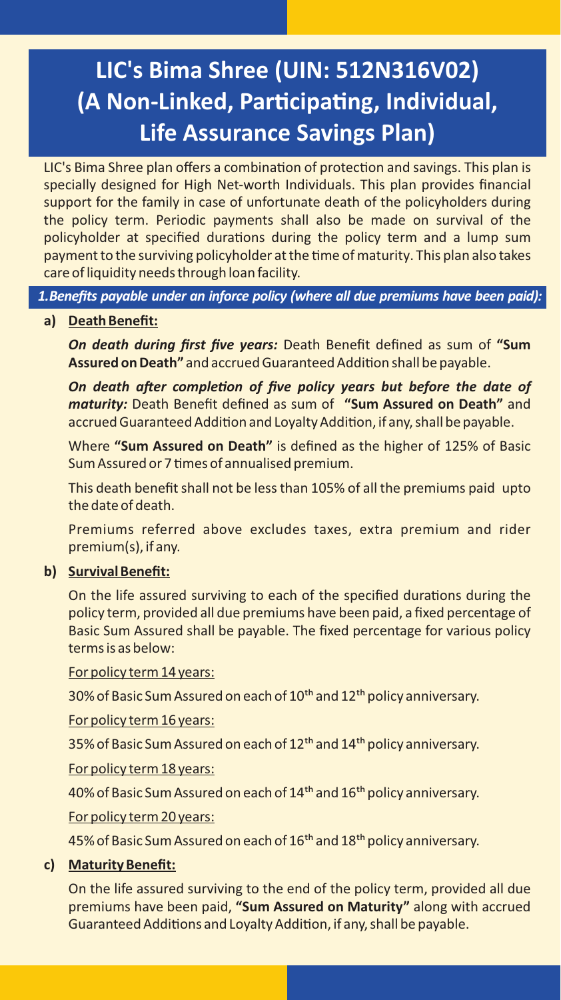## **LIC's Bima Shree (UIN: 512N316V02) (A Non-Linked, Par�cipa�ng, Individual, Life Assurance Savings Plan)**

LIC's Bima Shree plan offers a combination of protection and savings. This plan is specially designed for High Net-worth Individuals. This plan provides financial support for the family in case of unfortunate death of the policyholders during the policy term. Periodic payments shall also be made on survival of the policyholder at specified durations during the policy term and a lump sum payment to the surviving policyholder at the time of maturity. This plan also takes care of liquidity needs through loan facility.

*1.Benefits payable under an inforce policy (where all due premiums have been paid):*

#### **a) Death Benefit:**

*On death during first five years:* Death Benefit defined as sum of **"Sum** Assured on Death" and accrued Guaranteed Addition shall be payable.

*On death after completion of five policy years but before the date of maturity:* Death Benefit defined as sum of **"Sum Assured on Death"** and accrued Guaranteed Addition and Loyalty Addition, if any, shall be payable.

Where **"Sum Assured on Death"** is defined as the higher of 125% of Basic Sum Assured or 7 times of annualised premium.

This death benefit shall not be less than 105% of all the premiums paid upto the date of death.

Premiums referred above excludes taxes, extra premium and rider premium(s), if any.

#### **b) Survival Benefit:**

On the life assured surviving to each of the specified durations during the policy term, provided all due premiums have been paid, a fixed percentage of Basic Sum Assured shall be payable. The fixed percentage for various policy terms is as below:

For policy term 14 years:

30% of Basic Sum Assured on each of 10<sup>th</sup> and 12<sup>th</sup> policy anniversary.

For policy term 16 years:

35% of Basic Sum Assured on each of 12<sup>th</sup> and 14<sup>th</sup> policy anniversary.

For policy term 18 years:

40% of Basic Sum Assured on each of 14<sup>th</sup> and 16<sup>th</sup> policy anniversary.

For policy term 20 years:

45% of Basic Sum Assured on each of 16<sup>th</sup> and 18<sup>th</sup> policy anniversary.

#### **c) Maturity Benefit:**

On the life assured surviving to the end of the policy term, provided all due premiums have been paid, **"Sum Assured on Maturity"** along with accrued Guaranteed Additions and Loyalty Addition, if any, shall be payable.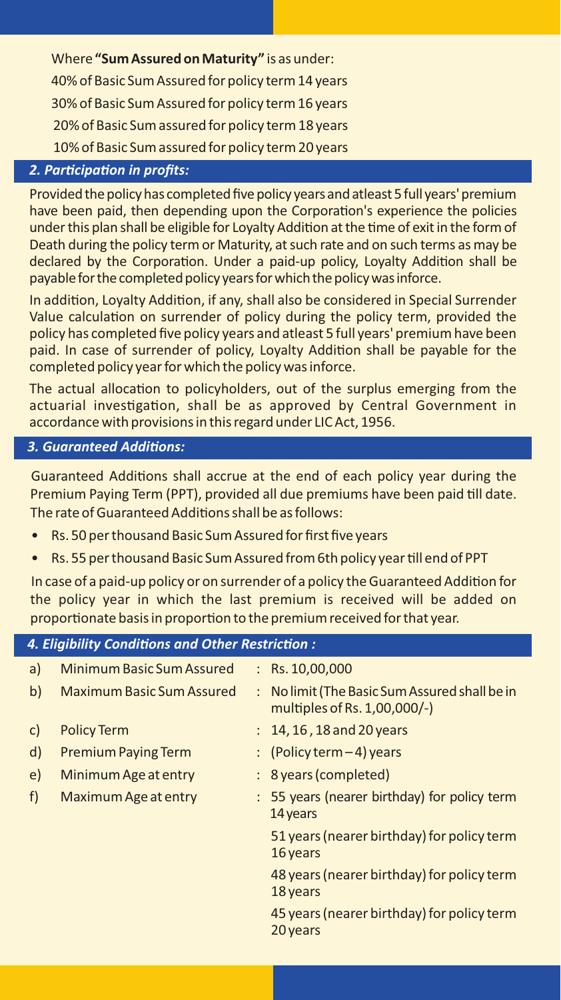Where **"Sum Assured on Maturity"** is as under: 40% of Basic Sum Assured for policy term 14 years 30% of Basic Sum Assured for policy term 16 years 20% of Basic Sum assured for policy term 18 years 10% of Basic Sum assured for policy term 20 years

#### *2. Par�cipa�on in profits:*

Provided the policy has completed five policy years and atleast 5 full years' premium have been paid, then depending upon the Corporation's experience the policies under this plan shall be eligible for Loyalty Addition at the time of exit in the form of Death during the policy term or Maturity, at such rate and on such terms as may be declared by the Corporation. Under a paid-up policy, Loyalty Addition shall be payable for the completed policyyears forwhich the policywasinforce.

In addition, Loyalty Addition, if any, shall also be considered in Special Surrender Value calculation on surrender of policy during the policy term, provided the policy has completed five policy years and atleast 5 full years' premium have been paid. In case of surrender of policy, Loyalty Addition shall be payable for the completed policy year for which the policy was inforce.

The actual allocation to policyholders, out of the surplus emerging from the actuarial investigation, shall be as approved by Central Government in accordance with provisions in this regard under LIC Act, 1956.

#### *3. Guaranteed Addi�ons:*

Guaranteed Additions shall accrue at the end of each policy year during the Premium Paying Term (PPT), provided all due premiums have been paid till date. The rate of Guaranteed Additions shall be as follows:

- Rs. 50 per thousand Basic Sum Assured for first five years
- Rs. 55 per thousand Basic Sum Assured from 6th policy year till end of PPT

In case of a paid-up policy or on surrender of a policy the Guaranteed Addition for the policy year in which the last premium is received will be added on proportionate basis in proportion to the premium received for that year.

## *4. Eligibility Condi�ons and Other Restric�on :*

| a)           | Minimum Basic Sum Assured        | : $Rs. 10,00,000$                                                             |
|--------------|----------------------------------|-------------------------------------------------------------------------------|
| b)           | <b>Maximum Basic Sum Assured</b> | : No limit (The Basic Sum Assured shall be in<br>multiples of Rs. 1,00,000/-) |
| $\mathsf{C}$ | <b>Policy Term</b>               | $: 14, 16, 18$ and 20 years                                                   |
| d)           | <b>Premium Paying Term</b>       | : (Policy term $-4$ ) years                                                   |
| e)           | Minimum Age at entry             | : 8 years (completed)                                                         |
| f)           | <b>Maximum Age at entry</b>      | : 55 years (nearer birthday) for policy term<br>14 years                      |
|              |                                  | 51 years (nearer birthday) for policy term<br>16 years                        |
|              |                                  | 48 years (nearer birthday) for policy term<br>18 years                        |
|              |                                  | 45 years (nearer birthday) for policy term<br>20 years                        |
|              |                                  |                                                                               |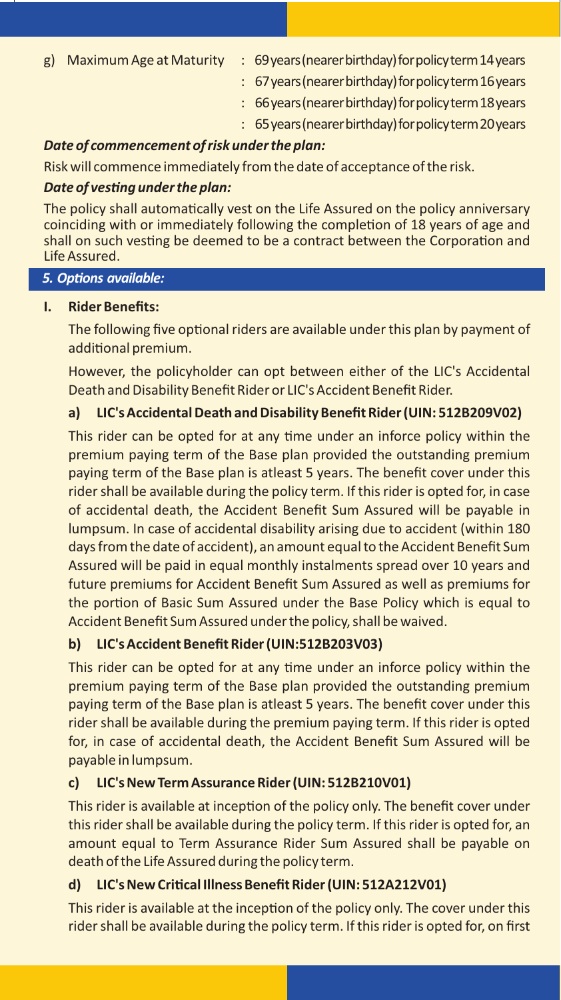- g) Maximum Age atMaturity : 69years(nearerbirthday)forpolicyterm14years
	- : 67years(nearerbirthday)forpolicyterm16years
	- : 66years(nearerbirthday)forpolicyterm18years
	- : 65years(nearerbirthday)forpolicyterm20years

#### *Date of commencement of risk under the plan:*

Risk will commence immediately from the date of acceptance of the risk.

#### *Date of ves�ng under the plan:*

The policy shall automatically vest on the Life Assured on the policy anniversary coinciding with or immediately following the completion of 18 years of age and shall on such vesting be deemed to be a contract between the Corporation and Life Assured.

#### **5. Options available:**

#### **I. Rider Benefits:**

The following five optional riders are available under this plan by payment of additional premium.

However, the policyholder can opt between either of the LIC's Accidental Death and Disability Benefit Rider or LIC's Accident Benefit Rider.

#### **a) LIC's Accidental Death and Disability Benefit Rider (UIN: 512B209V02)**

This rider can be opted for at any time under an inforce policy within the premium paying term of the Base plan provided the outstanding premium paying term of the Base plan is atleast 5 years. The benefit cover under this rider shall be available during the policy term. If this rider is opted for, in case of accidental death, the Accident Benefit Sum Assured will be payable in lumpsum. In case of accidental disability arising due to accident (within 180 days from the date of accident), an amount equal to the Accident Benefit Sum Assured will be paid in equal monthly instalments spread over 10 years and future premiums for Accident Benefit Sum Assured as well as premiums for the portion of Basic Sum Assured under the Base Policy which is equal to Accident Benefit Sum Assured under the policy, shall be waived.

#### **b) LIC's Accident Benefit Rider (UIN:512B203V03)**

This rider can be opted for at any time under an inforce policy within the premium paying term of the Base plan provided the outstanding premium paying term of the Base plan is atleast 5 years. The benefit cover under this rider shall be available during the premium paying term. If this rider is opted for, in case of accidental death, the Accident Benefit Sum Assured will be payable in lumpsum.

#### **c) LIC's New Term Assurance Rider (UIN: 512B210V01)**

This rider is available at inception of the policy only. The benefit cover under this rider shall be available during the policy term. If this rider is opted for, an amount equal to Term Assurance Rider Sum Assured shall be payable on death of the Life Assured during the policy term.

#### **d) LIC's New Cri�cal Illness Benefit Rider (UIN: 512A212V01)**

This rider is available at the inception of the policy only. The cover under this rider shall be available during the policy term. If this rider is opted for, on first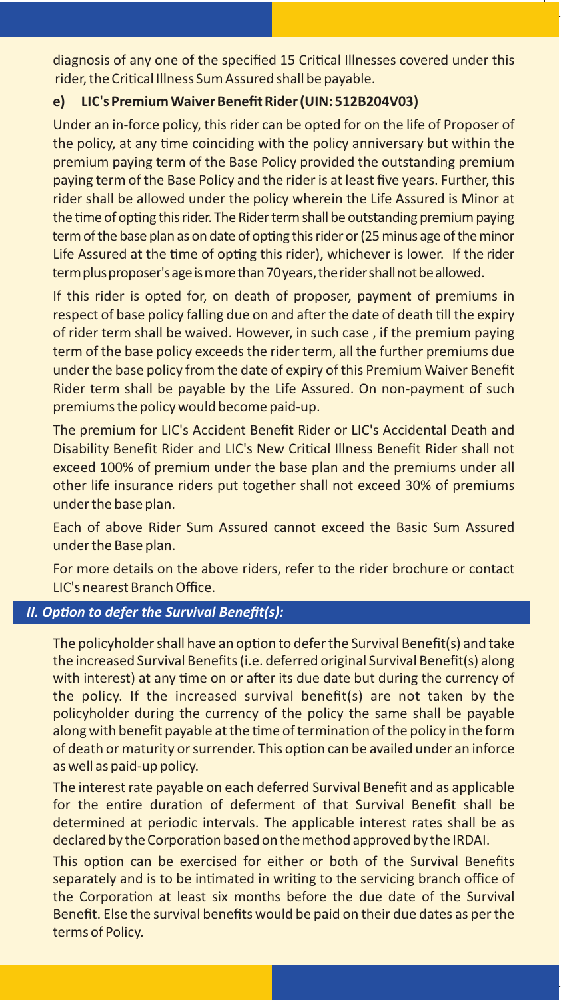diagnosis of any one of the specified 15 Critical Illnesses covered under this rider, the Critical Illness Sum Assured shall be payable.

#### **e) LIC's PremiumWaiver Benefit Rider (UIN: 512B204V03)**

Under an in-force policy, this rider can be opted for on the life of Proposer of the policy, at any time coinciding with the policy anniversary but within the premium paying term of the Base Policy provided the outstanding premium paying term of the Base Policy and the rider is at least five years. Further, this rider shall be allowed under the policy wherein the Life Assured is Minor at the time of opting this rider. The Rider term shall be outstanding premium paying term of the base plan as on date of opting this rider or (25 minus age of the minor Life Assured at the time of opting this rider), whichever is lower. If the rider term plus proposer's age is more than 70 years, the rider shall not be allowed.

If this rider is opted for, on death of proposer, payment of premiums in respect of base policy falling due on and after the date of death till the expiry of rider term shall be waived. However, in such case , if the premium paying term of the base policy exceeds the rider term, all the further premiums due under the base policy from the date of expiry of this Premium Waiver Benefit Rider term shall be payable by the Life Assured. On non-payment of such premiums the policy would become paid-up.

The premium for LIC's Accident Benefit Rider or LIC's Accidental Death and Disability Benefit Rider and LIC's New Cri�cal Illness Benefit Rider shall not exceed 100% of premium under the base plan and the premiums under all other life insurance riders put together shall not exceed 30% of premiums under the base plan.

Each of above Rider Sum Assured cannot exceed the Basic Sum Assured under the Base plan.

For more details on the above riders, refer to the rider brochure or contact LIC's nearest Branch Office.

#### **II. Option to defer the Survival Benefit(s):**

The policyholder shall have an option to defer the Survival Benefit(s) and take the increased Survival Benefits (i.e. deferred original Survival Benefit(s) along with interest) at any time on or after its due date but during the currency of the policy. If the increased survival benefit(s) are not taken by the policyholder during the currency of the policy the same shall be payable along with benefit payable at the time of termination of the policy in the form of death or maturity or surrender. This option can be availed under an inforce as well as paid-up policy.

The interest rate payable on each deferred Survival Benefit and as applicable for the entire duration of deferment of that Survival Benefit shall be determined at periodic intervals. The applicable interest rates shall be as declared by the Corporation based on the method approved by the IRDAI.

This option can be exercised for either or both of the Survival Benefits separately and is to be intimated in writing to the servicing branch office of the Corporation at least six months before the due date of the Survival Benefit. Else the survival benefits would be paid on their due dates as per the terms of Policy.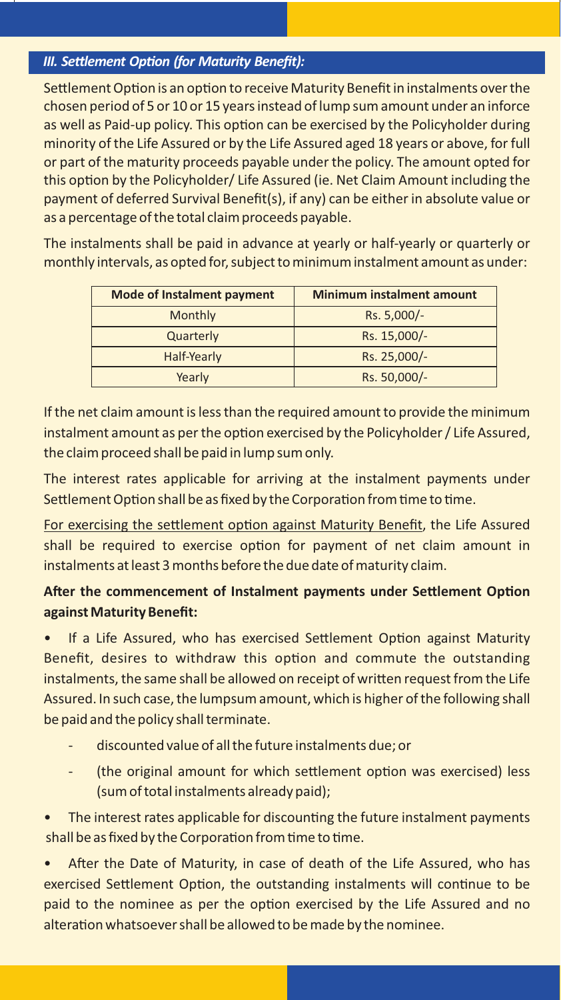#### **III. Settlement Option (for Maturity Benefit):**

Settlement Option is an option to receive Maturity Benefit in instalments over the chosen period of 5 or 10 or 15 years instead of lump sum amount under an inforce as well as Paid-up policy. This option can be exercised by the Policyholder during minority of the Life Assured or by the Life Assured aged 18 years or above, for full or part of the maturity proceeds payable under the policy. The amount opted for this option by the Policyholder/ Life Assured (ie. Net Claim Amount including the payment of deferred Survival Benefit(s), if any) can be either in absolute value or as a percentage of the total claim proceeds payable.

The instalments shall be paid in advance at yearly or half-yearly or quarterly or monthly intervals, as opted for, subject to minimum instalment amount as under:

| <b>Mode of Instalment payment</b> | <b>Minimum instalment amount</b> |
|-----------------------------------|----------------------------------|
| Monthly                           | Rs. 5,000/-                      |
| Quarterly                         | Rs. 15,000/-                     |
| Half-Yearly                       | Rs. 25,000/-                     |
| Yearly                            | Rs. 50,000/-                     |

If the net claim amount is less than the required amount to provide the minimum instalment amount as per the option exercised by the Policyholder / Life Assured, the claim proceed shall be paid in lump sum only.

The interest rates applicable for arriving at the instalment payments under Settlement Option shall be as fixed by the Corporation from time to time.

For exercising the settlement option against Maturity Benefit, the Life Assured shall be required to exercise option for payment of net claim amount in instalments at least 3 months before the due date of maturity claim.

### After the commencement of Instalment payments under Settlement Option **against Maturity Benefit:**

If a Life Assured, who has exercised Settlement Option against Maturity Benefit, desires to withdraw this option and commute the outstanding instalments, the same shall be allowed on receipt of written request from the Life Assured. In such case, the lumpsum amount, which is higher of the following shall be paid and the policy shall terminate.

- discounted value of all the future instalments due; or
- (the original amount for which settlement option was exercised) less (sum of total instalments already paid);

The interest rates applicable for discounting the future instalment payments shall be as fixed by the Corporation from time to time.

After the Date of Maturity, in case of death of the Life Assured, who has exercised Settlement Option, the outstanding instalments will continue to be paid to the nominee as per the option exercised by the Life Assured and no alteration whatsoever shall be allowed to be made by the nominee.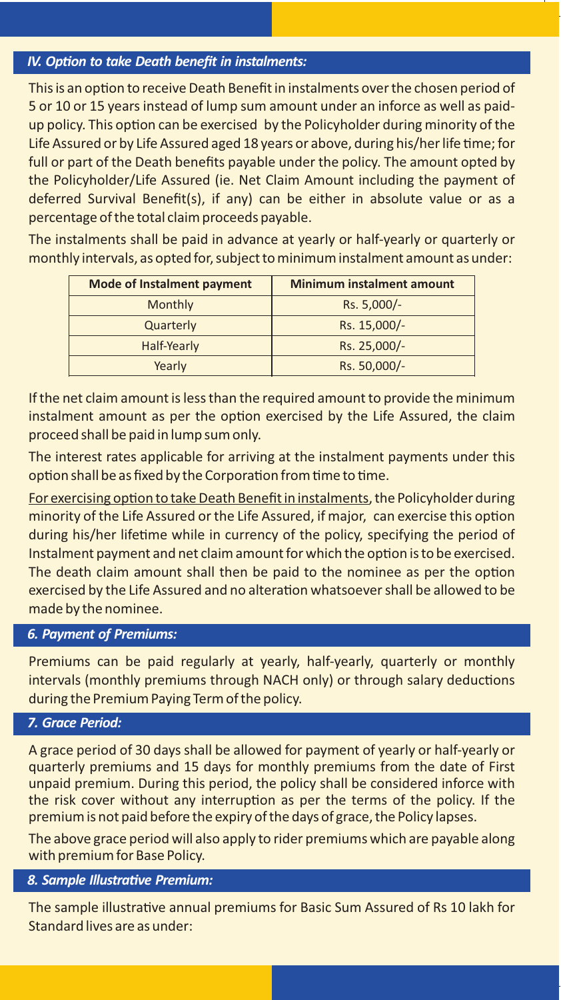#### *IV. Option to take Death benefit in instalments:*

This is an option to receive Death Benefit in instalments over the chosen period of 5 or 10 or 15 years instead of lump sum amount under an inforce as well as paidup policy. This option can be exercised by the Policyholder during minority of the Life Assured or by Life Assured aged 18 years or above, during his/her life time; for full or part of the Death benefits payable under the policy. The amount opted by the Policyholder/Life Assured (ie. Net Claim Amount including the payment of deferred Survival Benefit(s), if any) can be either in absolute value or as a percentage of the total claim proceeds payable.

The instalments shall be paid in advance at yearly or half-yearly or quarterly or monthly intervals, as opted for, subject to minimum instalment amount as under:

| <b>Mode of Instalment payment</b> | <b>Minimum instalment amount</b> |
|-----------------------------------|----------------------------------|
| Monthly                           | Rs. 5,000/-                      |
| Quarterly                         | Rs. 15,000/-                     |
| Half-Yearly                       | Rs. 25,000/-                     |
| Yearly                            | Rs. 50,000/-                     |

If the net claim amount is less than the required amount to provide the minimum instalment amount as per the option exercised by the Life Assured, the claim proceed shall be paid in lump sum only.

The interest rates applicable for arriving at the instalment payments under this option shall be as fixed by the Corporation from time to time.

For exercising option to take Death Benefit in instalments, the Policyholder during minority of the Life Assured or the Life Assured, if major, can exercise this option during his/her lifetime while in currency of the policy, specifying the period of Instalment payment and net claim amount for which the option is to be exercised. The death claim amount shall then be paid to the nominee as per the option exercised by the Life Assured and no alteration whatsoever shall be allowed to be made by the nominee.

#### *6. Payment of Premiums:*

Premiums can be paid regularly at yearly, half-yearly, quarterly or monthly intervals (monthly premiums through NACH only) or through salary deductions during the Premium Paying Term of the policy.

#### *7. Grace Period:*

A grace period of 30 days shall be allowed for payment of yearly or half-yearly or quarterly premiums and 15 days for monthly premiums from the date of First unpaid premium. During this period, the policy shall be considered inforce with the risk cover without any interruption as per the terms of the policy. If the premium is not paid before the expiry of the days of grace, the Policy lapses.

The above grace period will also apply to rider premiums which are payable along with premium for Base Policy.

#### **8. Sample Illustrative Premium:**

The sample illustrative annual premiums for Basic Sum Assured of Rs 10 lakh for Standard lives are as under: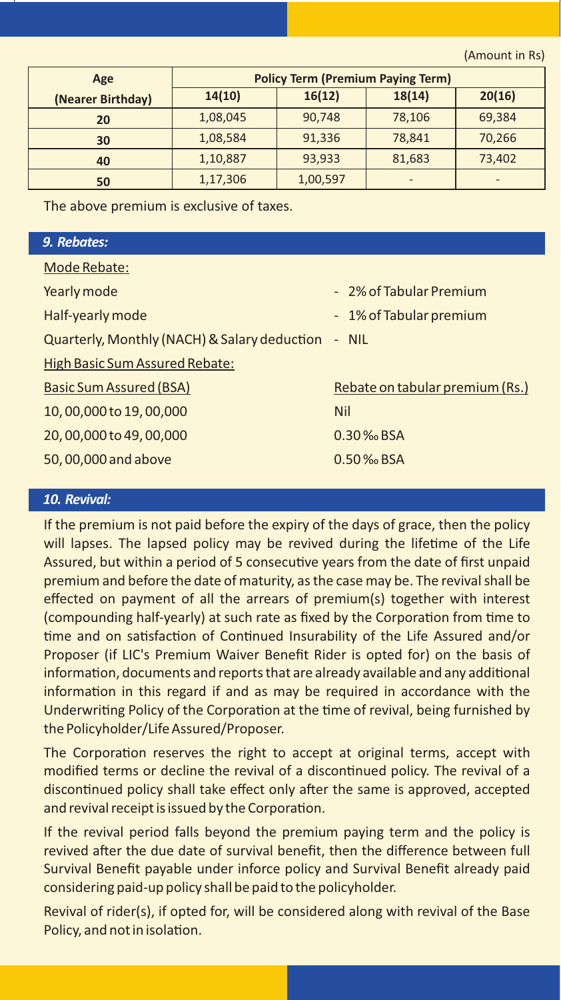(Amount in Rs)

| Age               | <b>Policy Term (Premium Paying Term)</b> |          |                          |        |  |  |  |  |
|-------------------|------------------------------------------|----------|--------------------------|--------|--|--|--|--|
| (Nearer Birthday) | 14(10)                                   | 16(12)   | 18(14)                   | 20(16) |  |  |  |  |
| 20                | 1,08,045                                 | 90,748   | 78,106                   | 69,384 |  |  |  |  |
| 30                | 1,08,584                                 | 91,336   | 78,841                   | 70,266 |  |  |  |  |
| 40                | 1,10,887                                 | 93,933   | 81,683                   | 73,402 |  |  |  |  |
| 50                | 1,17,306                                 | 1,00,597 | $\overline{\phantom{0}}$ | -      |  |  |  |  |

The above premium is exclusive of taxes.

#### *9. Rebates:*

| Mode Rebate:                                       |                                 |
|----------------------------------------------------|---------------------------------|
| Yearly mode                                        | - 2% of Tabular Premium         |
| Half-yearly mode                                   | - 1% of Tabular premium         |
| Quarterly, Monthly (NACH) & Salary deduction - NIL |                                 |
| <b>High Basic Sum Assured Rebate:</b>              |                                 |
| Basic Sum Assured (BSA)                            | Rebate on tabular premium (Rs.) |
| 10,00,000 to 19,00,000                             | <b>Nil</b>                      |
| 20,00,000 to 49,00,000                             | $0.30\%$ <sub>o</sub> $BSA$     |
| 50,00,000 and above                                | $0.50\%$ <sub>o</sub> $BSA$     |
|                                                    |                                 |

#### *10. Revival:*

If the premium is not paid before the expiry of the days of grace, then the policy will lapses. The lapsed policy may be revived during the lifetime of the Life Assured, but within a period of 5 consecutive years from the date of first unpaid premium and before the date of maturity, as the case may be. The revival shall be effected on payment of all the arrears of premium(s) together with interest (compounding half-yearly) at such rate as fixed by the Corporation from time to time and on satisfaction of Continued Insurability of the Life Assured and/or Proposer (if LIC's Premium Waiver Benefit Rider is opted for) on the basis of information, documents and reports that are already available and any additional information in this regard if and as may be required in accordance with the Underwriting Policy of the Corporation at the time of revival, being furnished by the Policyholder/Life Assured/Proposer.

The Corporation reserves the right to accept at original terms, accept with modified terms or decline the revival of a discontinued policy. The revival of a discontinued policy shall take effect only after the same is approved, accepted and revival receipt is issued by the Corporation.

If the revival period falls beyond the premium paying term and the policy is revived after the due date of survival benefit, then the difference between full Survival Benefit payable under inforce policy and Survival Benefit already paid considering paid-up policy shall be paid to the policyholder.

Revival of rider(s), if opted for, will be considered along with revival of the Base Policy, and not in isolation.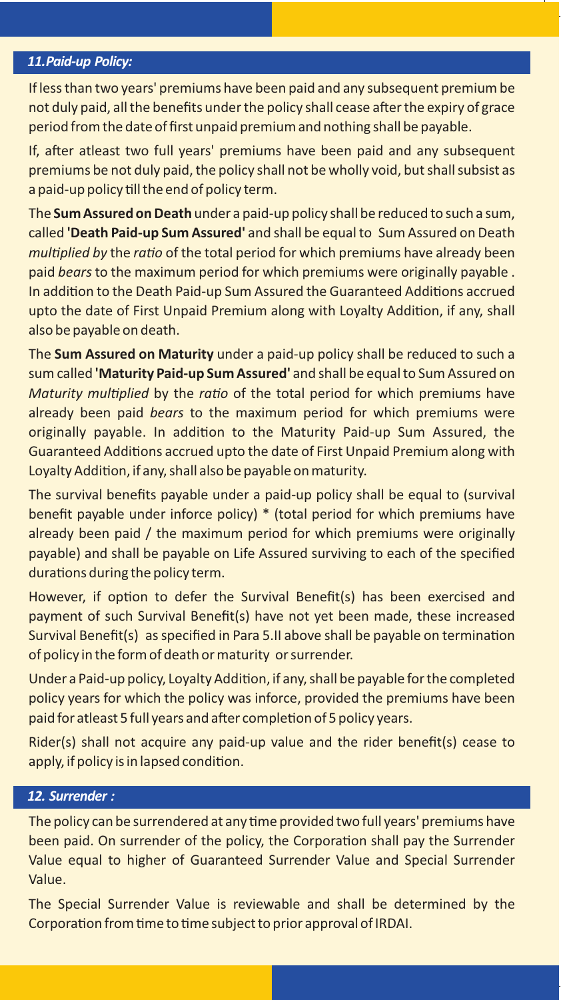#### *11.Paid-up Policy:*

If less than two years' premiums have been paid and any subsequent premium be not duly paid, all the benefits under the policy shall cease after the expiry of grace period from the date of first unpaid premium and nothing shall be payable.

If, after atleast two full years' premiums have been paid and any subsequent premiums be not duly paid, the policy shall not be wholly void, but shall subsist as a paid-up policy till the end of policy term.

The **Sum Assured on Death** under a paid-up policy shall be reduced to such a sum, called **'Death Paid-up Sum Assured'** and shall be equal to Sum Assured on Death *multiplied by the ratio of the total period for which premiums have already been* paid bears to the maximum period for which premiums were originally payable . In addition to the Death Paid-up Sum Assured the Guaranteed Additions accrued upto the date of First Unpaid Premium along with Loyalty Addition, if any, shall also be payable on death.

The **Sum Assured on Maturity** under a paid-up policy shall be reduced to such a sum called **'Maturity Paid-up Sum Assured'** and shall be equal to Sum Assured on *Maturity multiplied by the ratio of the total period for which premiums have* already been paid bears to the maximum period for which premiums were originally payable. In addition to the Maturity Paid-up Sum Assured, the Guaranteed Additions accrued upto the date of First Unpaid Premium along with Loyalty Addition, if any, shall also be payable on maturity.

The survival benefits payable under a paid-up policy shall be equal to (survival benefit payable under inforce policy) \* (total period for which premiums have already been paid / the maximum period for which premiums were originally payable) and shall be payable on Life Assured surviving to each of the specified durations during the policy term.

However, if option to defer the Survival Benefit(s) has been exercised and payment of such Survival Benefit(s) have not yet been made, these increased Survival Benefit(s) as specified in Para 5.II above shall be payable on termination of policy in the form of death or maturity or surrender.

Under a Paid-up policy, Loyalty Addition, if any, shall be payable for the completed policy years for which the policy was inforce, provided the premiums have been paid for atleast 5 full years and after completion of 5 policy years.

Rider(s) shall not acquire any paid-up value and the rider benefit(s) cease to apply, if policy is in lapsed condition.

#### *12. Surrender :*

The policy can be surrendered at any time provided two full years' premiums have been paid. On surrender of the policy, the Corporation shall pay the Surrender Value equal to higher of Guaranteed Surrender Value and Special Surrender Value.

The Special Surrender Value is reviewable and shall be determined by the Corporation from time to time subject to prior approval of IRDAI.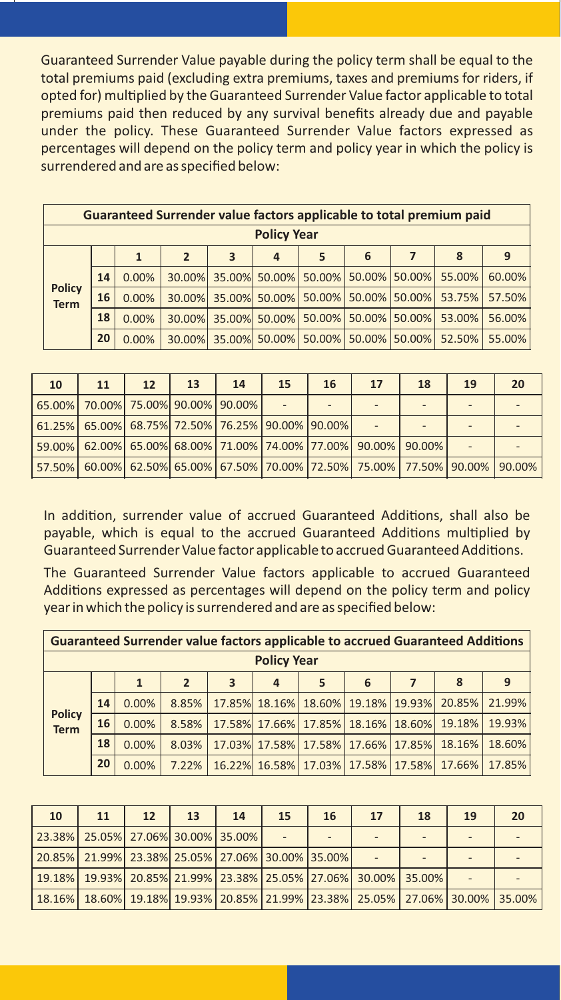Guaranteed Surrender Value payable during the policy term shall be equal to the total premiums paid (excluding extra premiums, taxes and premiums for riders, if opted for) multiplied by the Guaranteed Surrender Value factor applicable to total premiums paid then reduced by any survival benefits already due and payable under the policy. These Guaranteed Surrender Value factors expressed as percentages will depend on the policy term and policy year in which the policy is surrendered and are as specified below:

|                              | Guaranteed Surrender value factors applicable to total premium paid |       |                |               |           |                                           |                      |   |        |        |  |  |  |
|------------------------------|---------------------------------------------------------------------|-------|----------------|---------------|-----------|-------------------------------------------|----------------------|---|--------|--------|--|--|--|
| <b>Policy Year</b>           |                                                                     |       |                |               |           |                                           |                      |   |        |        |  |  |  |
|                              |                                                                     |       | $\overline{2}$ | 3             | 4         | 5                                         | 6                    | 7 | 8      | 9      |  |  |  |
|                              | 14                                                                  | 0.00% |                |               |           | 30.00% 35.00% 50.00% 50.00% 50.00% 50.00% |                      |   | 55.00% | 60.00% |  |  |  |
| <b>Policy</b><br><b>Term</b> | 16                                                                  | 0.00% | 30.00%         | 35.00%        | $50.00\%$ |                                           | 50.00% 50.00% 50.00% |   | 53.75% | 57.50% |  |  |  |
|                              | 18                                                                  | 0.00% |                | 30.00% 35.00% | 50.00%    |                                           | 50.00% 50.00% 50.00% |   | 53.00% | 56.00% |  |  |  |
|                              | 20                                                                  | 0.00% |                | 30.00% 35.00% |           | 50.00% 50.00% 50.00% 50.00%               |                      |   | 52.50% | 55.00% |  |  |  |

| 10 | 11                                               | 12 <sup>2</sup> | 13 <sup>2</sup> | 14 | 15 | 16 | 17                                                                                               | 18 | 19 | 20 |
|----|--------------------------------------------------|-----------------|-----------------|----|----|----|--------------------------------------------------------------------------------------------------|----|----|----|
|    | 65.00% 70.00% 75.00% 90.00% 90.00%               |                 |                 |    |    |    |                                                                                                  |    |    |    |
|    | 61.25% 65.00% 68.75% 72.50% 76.25% 90.00% 90.00% |                 |                 |    |    |    |                                                                                                  |    |    |    |
|    |                                                  |                 |                 |    |    |    | 59.00% 62.00% 65.00% 68.00% 71.00% 74.00% 77.00% 90.00% 90.00%                                   |    |    |    |
|    |                                                  |                 |                 |    |    |    | 57.50%   60.00%   62.50%   65.00%   67.50%   70.00%   72.50%   75.00%   77.50%   90.00%   90.00% |    |    |    |

In addition, surrender value of accrued Guaranteed Additions, shall also be payable, which is equal to the accrued Guaranteed Additions multiplied by Guaranteed Surrender Value factor applicable to accrued Guaranteed Additions.

The Guaranteed Surrender Value factors applicable to accrued Guaranteed Additions expressed as percentages will depend on the policy term and policy year in which the policy is surrendered and are as specified below:

|                              | <b>Guaranteed Surrender value factors applicable to accrued Guaranteed Additions</b> |              |                         |   |   |                                    |   |  |        |        |  |  |
|------------------------------|--------------------------------------------------------------------------------------|--------------|-------------------------|---|---|------------------------------------|---|--|--------|--------|--|--|
| <b>Policy Year</b>           |                                                                                      |              |                         |   |   |                                    |   |  |        |        |  |  |
|                              |                                                                                      | $\mathbf{1}$ | $\overline{\mathbf{z}}$ | 3 | 4 | 5                                  | 6 |  | 8      | 9      |  |  |
|                              | 14                                                                                   | 0.00%        | 8.85%                   |   |   | 17.85% 18.16% 18.60% 19.18% 19.93% |   |  | 20.85% | 21.99% |  |  |
| <b>Policy</b><br><b>Term</b> | 16                                                                                   | 0.00%        | 8.58%                   |   |   | 17.58% 17.66% 17.85% 18.16% 18.60% |   |  | 19.18% | 19.93% |  |  |
|                              | 18                                                                                   | 0.00%        | 8.03%                   |   |   | 17.03% 17.58% 17.58% 17.66% 17.85% |   |  | 18.16% | 18.60% |  |  |
|                              | 20                                                                                   | 0.00%        | 7.22%                   |   |   | 16.22% 16.58% 17.03% 17.58% 17.58% |   |  | 17.66% | 17.85% |  |  |

| <b>10</b>                                              | 11 | 12 <sup>2</sup> | 13 | 14 | 15 | 16 | 17                                                                                               | 18 | 19 | 20 |
|--------------------------------------------------------|----|-----------------|----|----|----|----|--------------------------------------------------------------------------------------------------|----|----|----|
| 23.38%   25.05%   27.06%   30.00%   35.00%             |    |                 |    |    |    |    |                                                                                                  |    |    |    |
| 20.85%  21.99%  23.38%  25.05%  27.06%  30.00%  35.00% |    |                 |    |    |    |    |                                                                                                  |    |    |    |
|                                                        |    |                 |    |    |    |    | 19.18%   19.93%   20.85%   21.99%   23.38%   25.05%   27.06%   30.00%   35.00%                   |    |    |    |
|                                                        |    |                 |    |    |    |    | 18.16%   18.60%   19.18%   19.93%   20.85%   21.99%   23.38%   25.05%   27.06%   30.00%   35.00% |    |    |    |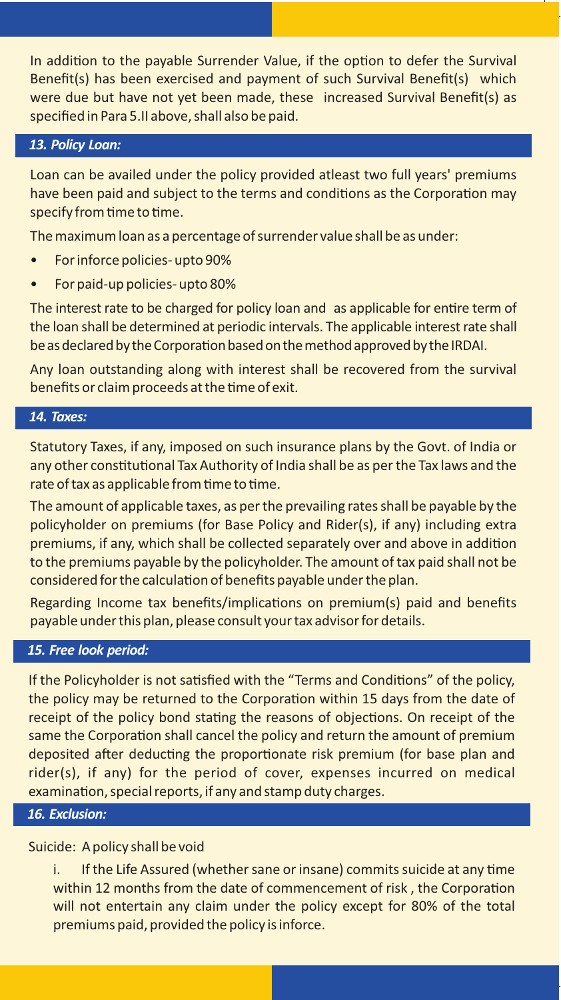In addition to the payable Surrender Value, if the option to defer the Survival Benefit(s) has been exercised and payment of such Survival Benefit(s) which were due but have not yet been made, these increased Survival Benefit(s) as specified in Para 5.II above, shall also be paid.

#### *13. Policy Loan:*

Loan can be availed under the policy provided atleast two full years' premiums have been paid and subject to the terms and conditions as the Corporation may specify from time to time.

The maximum loan as a percentage of surrender value shall be as under:

- For inforce policies- upto 90%
- For paid-up policies- upto 80%

The interest rate to be charged for policy loan and as applicable for entire term of the loan shall be determined at periodic intervals. The applicable interest rate shall be as declared by the Corporation based on the method approved by the IRDAI.

Any loan outstanding along with interest shall be recovered from the survival benefits or claim proceeds at the time of exit.

#### *14. Taxes:*

Statutory Taxes, if any, imposed on such insurance plans by the Govt. of India or any other constitutional Tax Authority of India shall be as per the Tax laws and the rate of tax as applicable from time to time.

The amount of applicable taxes, as per the prevailing rates shall be payable by the policyholder on premiums (for Base Policy and Rider(s), if any) including extra premiums, if any, which shall be collected separately over and above in addition to the premiums payable by the policyholder. The amount of tax paid shall not be considered for the calculation of benefits payable under the plan.

Regarding Income tax benefits/implications on premium(s) paid and benefits payable under this plan, please consult your tax advisor for details.

#### *15. Free look period:*

If the Policyholder is not satisfied with the "Terms and Conditions" of the policy, the policy may be returned to the Corporation within 15 days from the date of receipt of the policy bond stating the reasons of objections. On receipt of the same the Corporation shall cancel the policy and return the amount of premium deposited after deducting the proportionate risk premium (for base plan and rider(s), if any) for the period of cover, expenses incurred on medical examination, special reports, if any and stamp duty charges.

#### *16. Exclusion:*

#### Suicide: A policy shall be void

i. If the Life Assured (whether sane or insane) commits suicide at any time within 12 months from the date of commencement of risk, the Corporation will not entertain any claim under the policy except for 80% of the total premiums paid, provided the policy is inforce.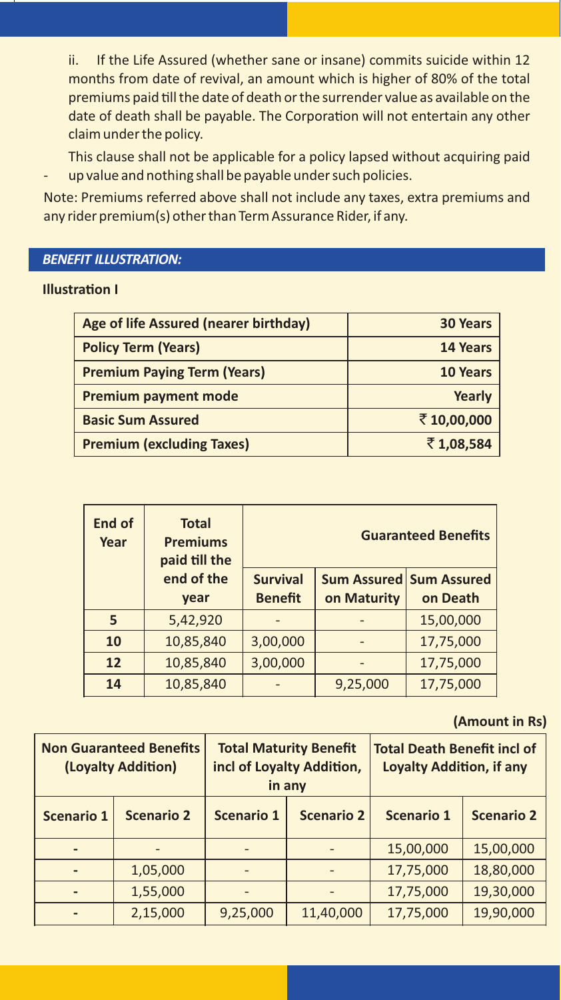ii. If the Life Assured (whether sane or insane) commits suicide within 12 months from date of revival, an amount which is higher of 80% of the total premiums paid till the date of death or the surrender value as available on the date of death shall be payable. The Corporation will not entertain any other claim under the policy.

This clause shall not be applicable for a policy lapsed without acquiring paid up value and nothing shall be payable under such policies.

Note: Premiums referred above shall not include any taxes, extra premiums and any rider premium(s) other than Term Assurance Rider, if any.

#### *BENEFIT ILLUSTRATION:*

#### **Illustration I**

| Age of life Assured (nearer birthday) | <b>30 Years</b> |
|---------------------------------------|-----------------|
| <b>Policy Term (Years)</b>            | 14 Years        |
| <b>Premium Paying Term (Years)</b>    | 10 Years        |
| <b>Premium payment mode</b>           | Yearly          |
| <b>Basic Sum Assured</b>              | ₹10,00,000      |
| <b>Premium (excluding Taxes)</b>      | ₹1,08,584       |

| End of<br>Year | <b>Total</b><br><b>Premiums</b><br>paid till the | <b>Guaranteed Benefits</b> |             |                         |  |  |  |
|----------------|--------------------------------------------------|----------------------------|-------------|-------------------------|--|--|--|
|                | end of the                                       | <b>Survival</b>            |             | Sum Assured Sum Assured |  |  |  |
|                | vear                                             | <b>Benefit</b>             | on Maturity | on Death                |  |  |  |
| 5              | 5,42,920                                         |                            |             | 15,00,000               |  |  |  |
| 10             | 10,85,840                                        | 3,00,000                   |             | 17,75,000               |  |  |  |
| 12             | 10,85,840                                        | 3,00,000                   |             | 17,75,000               |  |  |  |
| 14             | 10,85,840                                        |                            | 9,25,000    | 17,75,000               |  |  |  |

#### **(Amount in Rs)**

|                   | <b>Non Guaranteed Benefits</b><br>(Loyalty Addition) |                                 | <b>Total Maturity Benefit</b><br>incl of Loyalty Addition,<br>in any | <b>Total Death Benefit incl of</b><br><b>Loyalty Addition, if any</b> |                   |  |
|-------------------|------------------------------------------------------|---------------------------------|----------------------------------------------------------------------|-----------------------------------------------------------------------|-------------------|--|
| <b>Scenario 1</b> | <b>Scenario 2</b>                                    | <b>Scenario 2</b><br>Scenario 1 |                                                                      | <b>Scenario 1</b>                                                     | <b>Scenario 2</b> |  |
|                   |                                                      |                                 |                                                                      | 15,00,000                                                             | 15,00,000         |  |
|                   | 1,05,000                                             |                                 |                                                                      | 17,75,000                                                             | 18,80,000         |  |
|                   | 1,55,000                                             |                                 |                                                                      | 17,75,000                                                             | 19,30,000         |  |
|                   | 2,15,000                                             | 9,25,000                        | 11,40,000                                                            | 17,75,000                                                             | 19,90,000         |  |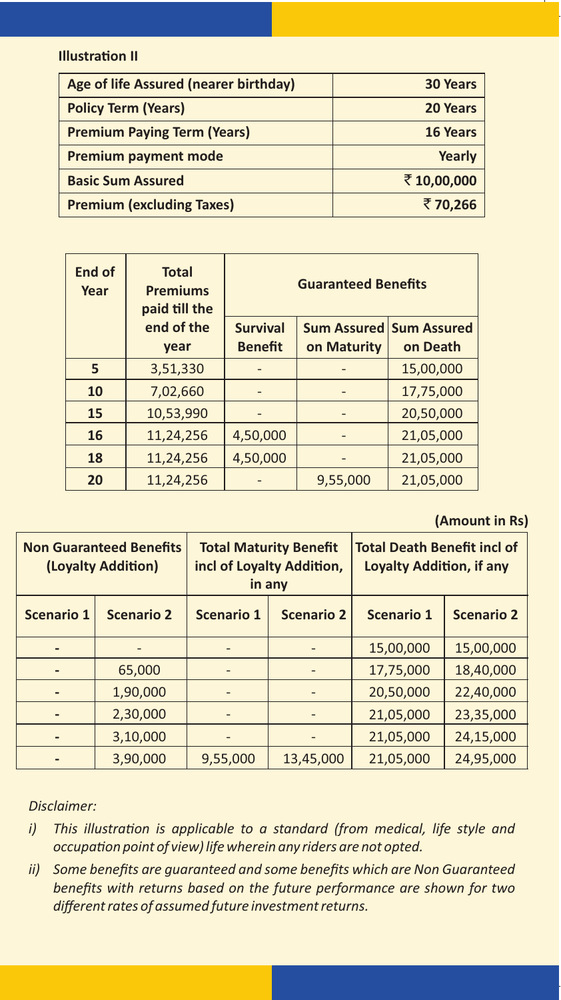#### **Illustration II**

| Age of life Assured (nearer birthday) | <b>30 Years</b> |
|---------------------------------------|-----------------|
| <b>Policy Term (Years)</b>            | 20 Years        |
| <b>Premium Paying Term (Years)</b>    | 16 Years        |
| <b>Premium payment mode</b>           | Yearly          |
| <b>Basic Sum Assured</b>              | ₹10,00,000      |
| <b>Premium (excluding Taxes)</b>      | ₹70,266         |

| End of<br>Year | <b>Total</b><br><b>Premiums</b><br>paid till the |                                   | <b>Guaranteed Benefits</b>               |           |
|----------------|--------------------------------------------------|-----------------------------------|------------------------------------------|-----------|
|                | end of the<br>year                               | <b>Survival</b><br><b>Benefit</b> | Sum Assured   Sum Assured<br>on Maturity | on Death  |
| 5              | 3,51,330                                         |                                   |                                          | 15,00,000 |
| 10             | 7,02,660                                         |                                   |                                          | 17,75,000 |
| 15             | 10,53,990                                        |                                   |                                          | 20,50,000 |
| 16             | 11,24,256                                        | 4,50,000                          |                                          | 21,05,000 |
| 18             | 11,24,256                                        | 4,50,000                          |                                          | 21,05,000 |
| 20             | 11,24,256                                        |                                   | 9,55,000                                 | 21,05,000 |

#### **(Amount in Rs)**

| <b>Non Guaranteed Benefits</b><br>(Loyalty Addition) |                   | <b>Total Maturity Benefit</b><br>incl of Loyalty Addition,<br>in any |                   | <b>Total Death Benefit incl of</b><br><b>Loyalty Addition, if any</b> |                   |
|------------------------------------------------------|-------------------|----------------------------------------------------------------------|-------------------|-----------------------------------------------------------------------|-------------------|
| Scenario 1                                           | <b>Scenario 2</b> | <b>Scenario 1</b>                                                    | <b>Scenario 2</b> | Scenario 1                                                            | <b>Scenario 2</b> |
|                                                      |                   |                                                                      |                   | 15,00,000                                                             | 15,00,000         |
|                                                      | 65,000            |                                                                      |                   | 17,75,000                                                             | 18,40,000         |
|                                                      | 1,90,000          |                                                                      |                   | 20,50,000                                                             | 22,40,000         |
|                                                      | 2,30,000          |                                                                      |                   | 21,05,000                                                             | 23,35,000         |
|                                                      | 3,10,000          |                                                                      |                   | 21,05,000                                                             | 24,15,000         |
|                                                      | 3,90,000          | 9,55,000                                                             | 13,45,000         | 21,05,000                                                             | 24,95,000         |

#### *Disclaimer:*

- *i*) This illustration is applicable to a standard (from medical, life style and *occupa�on point of view) life wherein any riders are not opted.*
- *ii) Some benefits are guaranteed and some benefits which are Non Guaranteed benefits with returns based on the future performance are shown for two different rates of assumed future investment returns.*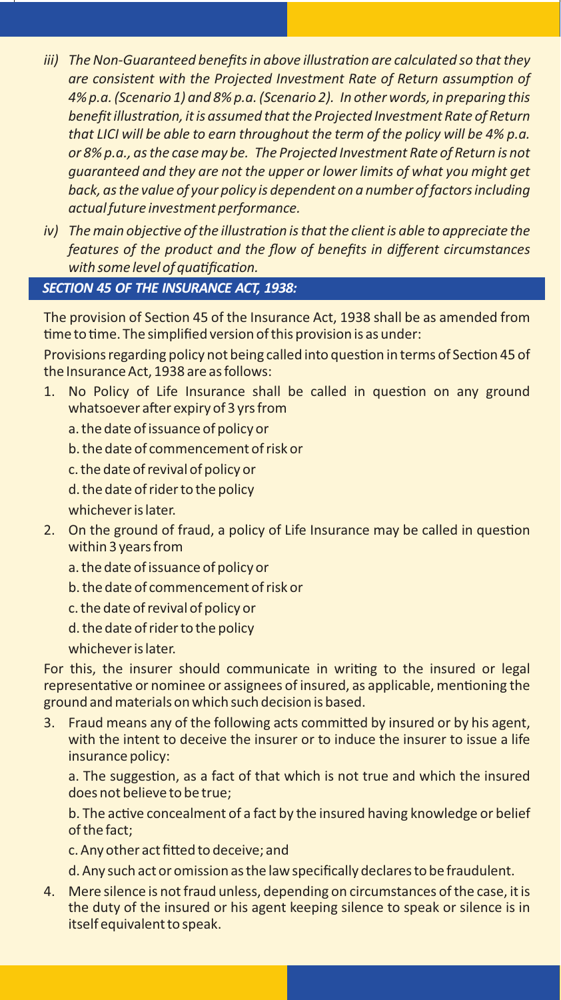- *iii)* The Non-Guaranteed benefits in above illustration are calculated so that they *are consistent with the Projected Investment Rate of Return assump�on of 4% p.a. (Scenario 1) and 8% p.a. (Scenario 2). In other words, in preparing this benefit illustra�on, it is assumed that the Projected Investment Rate of Return that LICI will be able to earn throughout the term of the policy will be 4% p.a. or 8% p.a., as the case may be. The Projected Investment Rate of Return is not guaranteed and they are not the upper or lower limits of what you might get back, as the value of your policy is dependent on a number of factors including actual future investment performance.*
- *iv)* The main objective of the illustration is that the client is able to appreciate the *features of the product and the flow of benefits in different circumstances with some level of quatification.*

#### *SECTION 45 OF THE INSURANCE ACT, 1938:*

The provision of Section 45 of the Insurance Act, 1938 shall be as amended from time to time. The simplified version of this provision is as under:

Provisions regarding policy not being called into question in terms of Section 45 of the Insurance Act, 1938 are as follows:

- 1. No Policy of Life Insurance shall be called in question on any ground whatsoever after expiry of 3 yrs from
	- a. the date of issuance of policy or
	- b. the date of commencement of risk or
	- c. the date of revival of policy or
	- d. the date of rider to the policy
	- whichever is later.
- 2. On the ground of fraud, a policy of Life Insurance may be called in question within 3 years from
	- a. the date of issuance of policy or
	- b. the date of commencement of risk or
	- c. the date of revival of policy or
	- d. the date of rider to the policy
	- whichever is later.

For this, the insurer should communicate in writing to the insured or legal representative or nominee or assignees of insured, as applicable, mentioning the ground and materials on which such decision is based.

3. Fraud means any of the following acts committed by insured or by his agent, with the intent to deceive the insurer or to induce the insurer to issue a life insurance policy:

a. The suggestion, as a fact of that which is not true and which the insured does not believe to be true;

b. The active concealment of a fact by the insured having knowledge or belief of the fact;

c. Any other act fitted to deceive; and

d. Any such act or omission as the law specifically declares to be fraudulent.

4. Mere silence is not fraud unless, depending on circumstances of the case, it is the duty of the insured or his agent keeping silence to speak or silence is in itself equivalent to speak.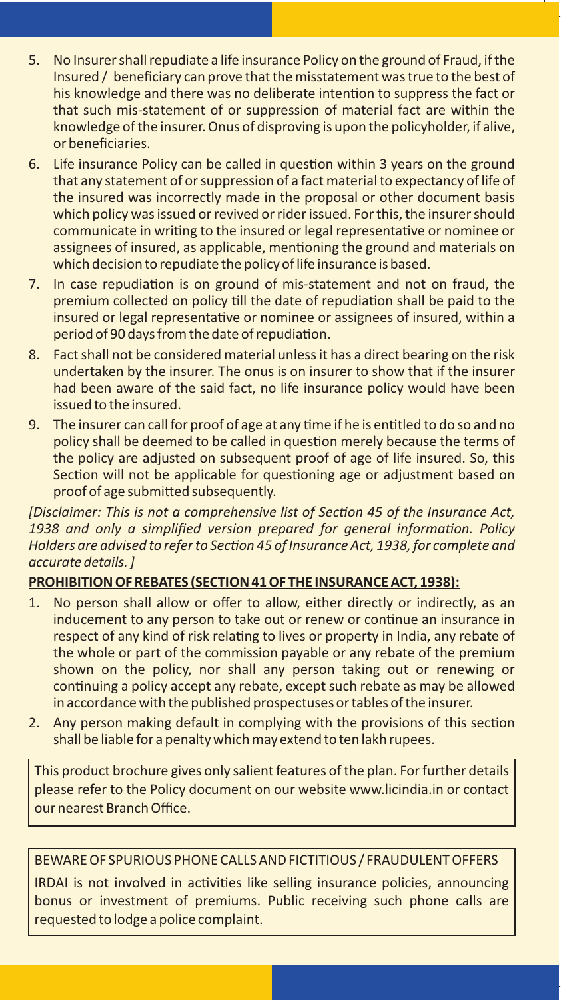- 5. No Insurer shall repudiate a life insurance Policy on the ground of Fraud, if the Insured / beneficiary can prove that the misstatement was true to the best of his knowledge and there was no deliberate intention to suppress the fact or that such mis-statement of or suppression of material fact are within the knowledge of the insurer. Onus of disproving is upon the policyholder, if alive, or beneficiaries.
- 6. Life insurance Policy can be called in question within 3 years on the ground that any statement of or suppression of a fact material to expectancy of life of the insured was incorrectly made in the proposal or other document basis which policy was issued or revived or rider issued. For this, the insurer should communicate in writing to the insured or legal representative or nominee or assignees of insured, as applicable, mentioning the ground and materials on which decision to repudiate the policy of life insurance is based.
- 7. In case repudiation is on ground of mis-statement and not on fraud, the premium collected on policy till the date of repudiation shall be paid to the insured or legal representative or nominee or assignees of insured, within a period of 90 days from the date of repudiation.
- 8. Fact shall not be considered material unless it has a direct bearing on the risk undertaken by the insurer. The onus is on insurer to show that if the insurer had been aware of the said fact, no life insurance policy would have been issued to the insured.
- 9. The insurer can call for proof of age at any time if he is entitled to do so and no policy shall be deemed to be called in question merely because the terms of the policy are adjusted on subsequent proof of age of life insured. So, this Section will not be applicable for questioning age or adjustment based on proof of age submitted subsequently.

*[Disclaimer: This is not a comprehensive list of Sec�on 45 of the Insurance Act,* 1938 and only a simplified version prepared for general information. Policy *Holders are advised to refer to Sec�on 45 of Insurance Act, 1938, for complete and accurate details. ]*

#### **PROHIBITIONOF REBATES (SECTION 41OF THE INSURANCE ACT, 1938):**

- 1. No person shall allow or offer to allow, either directly or indirectly, as an inducement to any person to take out or renew or continue an insurance in respect of any kind of risk relating to lives or property in India, any rebate of the whole or part of the commission payable or any rebate of the premium shown on the policy, nor shall any person taking out or renewing or continuing a policy accept any rebate, except such rebate as may be allowed in accordance with the published prospectuses or tables of the insurer.
- 2. Any person making default in complying with the provisions of this section shall be liable for a penalty which may extend to ten lakh rupees.

This product brochure gives only salient features of the plan. For further details please refer to the Policy document on our website www.licindia.in or contact our nearest Branch Office.

#### BEWARE OF SPURIOUS PHONE CALLS AND FICTITIOUS / FRAUDULENT OFFERS

IRDAI is not involved in activities like selling insurance policies, announcing bonus or investment of premiums. Public receiving such phone calls are requested to lodge a police complaint.